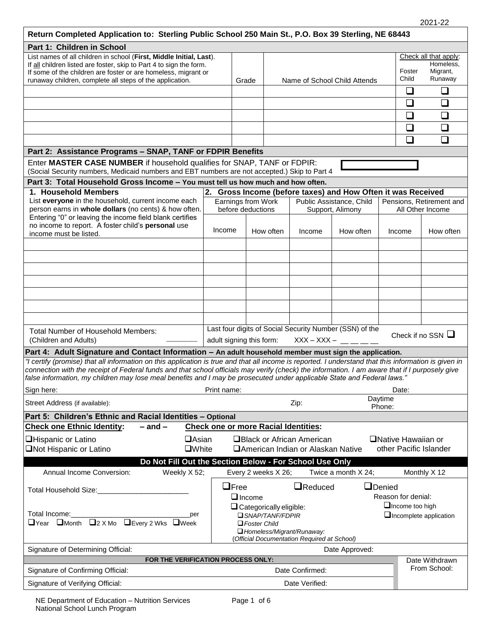| Return Completed Application to: Sterling Public School 250 Main St., P.O. Box 39 Sterling, NE 68443                                                                                                                                                                      |                                                                                |                                                              |                                                   |                                              |                                                         |                                              |                                    |                                |  |
|---------------------------------------------------------------------------------------------------------------------------------------------------------------------------------------------------------------------------------------------------------------------------|--------------------------------------------------------------------------------|--------------------------------------------------------------|---------------------------------------------------|----------------------------------------------|---------------------------------------------------------|----------------------------------------------|------------------------------------|--------------------------------|--|
| Part 1: Children in School                                                                                                                                                                                                                                                |                                                                                |                                                              |                                                   |                                              |                                                         |                                              |                                    |                                |  |
| List names of all children in school (First, Middle Initial, Last).<br>If all children listed are foster, skip to Part 4 to sign the form.                                                                                                                                |                                                                                |                                                              |                                                   |                                              |                                                         |                                              | Check all that apply:<br>Homeless. |                                |  |
| If some of the children are foster or are homeless, migrant or<br>runaway children, complete all steps of the application.                                                                                                                                                |                                                                                | Grade                                                        |                                                   |                                              | Name of School Child Attends                            |                                              | Foster<br>Child                    | Migrant,<br>Runaway            |  |
|                                                                                                                                                                                                                                                                           |                                                                                |                                                              |                                                   |                                              |                                                         |                                              | ❏                                  | $\Box$                         |  |
|                                                                                                                                                                                                                                                                           |                                                                                |                                                              |                                                   |                                              |                                                         |                                              | ❏                                  | $\Box$                         |  |
|                                                                                                                                                                                                                                                                           |                                                                                |                                                              |                                                   |                                              |                                                         |                                              | ❏                                  | $\Box$                         |  |
|                                                                                                                                                                                                                                                                           |                                                                                |                                                              |                                                   |                                              |                                                         |                                              |                                    |                                |  |
|                                                                                                                                                                                                                                                                           |                                                                                |                                                              |                                                   |                                              |                                                         |                                              | ❏                                  | ❏                              |  |
|                                                                                                                                                                                                                                                                           |                                                                                |                                                              |                                                   |                                              |                                                         |                                              | ❏                                  | □                              |  |
| Part 2: Assistance Programs - SNAP, TANF or FDPIR Benefits                                                                                                                                                                                                                |                                                                                |                                                              |                                                   |                                              |                                                         |                                              |                                    |                                |  |
| Enter MASTER CASE NUMBER if household qualifies for SNAP, TANF or FDPIR:<br>(Social Security numbers, Medicaid numbers and EBT numbers are not accepted.) Skip to Part 4                                                                                                  |                                                                                |                                                              |                                                   |                                              |                                                         |                                              |                                    |                                |  |
| Part 3: Total Household Gross Income - You must tell us how much and how often.                                                                                                                                                                                           |                                                                                |                                                              |                                                   |                                              |                                                         |                                              |                                    |                                |  |
| 1. Household Members                                                                                                                                                                                                                                                      |                                                                                | 2. Gross Income (before taxes) and How Often it was Received |                                                   |                                              |                                                         |                                              |                                    |                                |  |
| List everyone in the household, current income each<br>person earns in whole dollars (no cents) & how often.<br>Entering "0" or leaving the income field blank certifies                                                                                                  |                                                                                | Earnings from Work<br>before deductions                      |                                                   | Public Assistance, Child<br>Support, Alimony |                                                         | Pensions, Retirement and<br>All Other Income |                                    |                                |  |
|                                                                                                                                                                                                                                                                           |                                                                                |                                                              |                                                   |                                              |                                                         |                                              |                                    |                                |  |
| no income to report. A foster child's personal use<br>income must be listed.                                                                                                                                                                                              | Income                                                                         |                                                              | How often                                         | Income                                       | How often                                               | Income                                       |                                    | How often                      |  |
|                                                                                                                                                                                                                                                                           |                                                                                |                                                              |                                                   |                                              |                                                         |                                              |                                    |                                |  |
|                                                                                                                                                                                                                                                                           |                                                                                |                                                              |                                                   |                                              |                                                         |                                              |                                    |                                |  |
|                                                                                                                                                                                                                                                                           |                                                                                |                                                              |                                                   |                                              |                                                         |                                              |                                    |                                |  |
|                                                                                                                                                                                                                                                                           |                                                                                |                                                              |                                                   |                                              |                                                         |                                              |                                    |                                |  |
|                                                                                                                                                                                                                                                                           |                                                                                |                                                              |                                                   |                                              |                                                         |                                              |                                    |                                |  |
|                                                                                                                                                                                                                                                                           |                                                                                |                                                              |                                                   |                                              |                                                         |                                              |                                    |                                |  |
|                                                                                                                                                                                                                                                                           |                                                                                |                                                              |                                                   |                                              |                                                         |                                              |                                    |                                |  |
|                                                                                                                                                                                                                                                                           |                                                                                |                                                              |                                                   |                                              | Last four digits of Social Security Number (SSN) of the |                                              |                                    |                                |  |
| Total Number of Household Members:<br>(Children and Adults)                                                                                                                                                                                                               |                                                                                | adult signing this form:                                     |                                                   | $XXX - XXX -$                                |                                                         |                                              |                                    | Check if no SSN $\Box$         |  |
| Part 4: Adult Signature and Contact Information - An adult household member must sign the application.                                                                                                                                                                    |                                                                                |                                                              |                                                   |                                              |                                                         |                                              |                                    |                                |  |
| "I certify (promise) that all information on this application is true and that all income is reported. I understand that this information is given in                                                                                                                     |                                                                                |                                                              |                                                   |                                              |                                                         |                                              |                                    |                                |  |
| connection with the receipt of Federal funds and that school officials may verify (check) the information. I am aware that if I purposely give<br>false information, my children may lose meal benefits and I may be prosecuted under applicable State and Federal laws." |                                                                                |                                                              |                                                   |                                              |                                                         |                                              |                                    |                                |  |
| Sign here:                                                                                                                                                                                                                                                                | Print name:                                                                    |                                                              |                                                   |                                              |                                                         |                                              | Date:                              |                                |  |
| Street Address (if available):                                                                                                                                                                                                                                            |                                                                                | Daytime<br>Zip:<br>Phone:                                    |                                                   |                                              |                                                         |                                              |                                    |                                |  |
| Part 5: Children's Ethnic and Racial Identities - Optional                                                                                                                                                                                                                |                                                                                |                                                              |                                                   |                                              |                                                         |                                              |                                    |                                |  |
| $-$ and $-$<br><b>Check one Ethnic Identity:</b>                                                                                                                                                                                                                          |                                                                                |                                                              |                                                   | <b>Check one or more Racial Identities:</b>  |                                                         |                                              |                                    |                                |  |
| <b>Hispanic or Latino</b><br>$\Box$ Asian                                                                                                                                                                                                                                 |                                                                                |                                                              |                                                   | <b>OBlack or African American</b>            |                                                         |                                              | □Native Hawaiian or                |                                |  |
| <b>ONot Hispanic or Latino</b><br><b>OWhite</b>                                                                                                                                                                                                                           |                                                                                |                                                              |                                                   | □ American Indian or Alaskan Native          |                                                         |                                              |                                    | other Pacific Islander         |  |
| Do Not Fill Out the Section Below - For School Use Only                                                                                                                                                                                                                   |                                                                                |                                                              |                                                   |                                              |                                                         |                                              |                                    |                                |  |
| Weekly X 52;<br>Annual Income Conversion:                                                                                                                                                                                                                                 |                                                                                | Every 2 weeks X 26;                                          |                                                   |                                              | Twice a month X 24;                                     |                                              |                                    | Monthly X 12                   |  |
|                                                                                                                                                                                                                                                                           |                                                                                | $\Box$ Free                                                  |                                                   | <b>Q</b> Reduced                             |                                                         | <b>O</b> Denied                              |                                    |                                |  |
| Total Household Size:                                                                                                                                                                                                                                                     |                                                                                | $\Box$ Income                                                |                                                   |                                              |                                                         |                                              | Reason for denial:                 |                                |  |
|                                                                                                                                                                                                                                                                           |                                                                                |                                                              | Income too high<br>$\Box$ Categorically eligible: |                                              |                                                         |                                              |                                    |                                |  |
| Total Income: Total Income<br>per<br>□Year □Month □2 X Mo □Every 2 Wks □Week                                                                                                                                                                                              | <b>SNAP/TANF/FDPIR</b><br>$\Box$ Incomplete application<br>$\Box$ Foster Child |                                                              |                                                   |                                              |                                                         |                                              |                                    |                                |  |
|                                                                                                                                                                                                                                                                           |                                                                                |                                                              |                                                   | Homeless/Migrant/Runaway:                    |                                                         |                                              |                                    |                                |  |
|                                                                                                                                                                                                                                                                           |                                                                                |                                                              |                                                   | (Official Documentation Required at School)  |                                                         |                                              |                                    |                                |  |
| Signature of Determining Official:                                                                                                                                                                                                                                        |                                                                                |                                                              |                                                   |                                              | Date Approved:                                          |                                              |                                    |                                |  |
| FOR THE VERIFICATION PROCESS ONLY:<br>Signature of Confirming Official:                                                                                                                                                                                                   |                                                                                |                                                              |                                                   | Date Confirmed:                              |                                                         |                                              |                                    | Date Withdrawn<br>From School: |  |
|                                                                                                                                                                                                                                                                           |                                                                                |                                                              |                                                   |                                              |                                                         |                                              |                                    |                                |  |
| Signature of Verifying Official:                                                                                                                                                                                                                                          | Date Verified:                                                                 |                                                              |                                                   |                                              |                                                         |                                              |                                    |                                |  |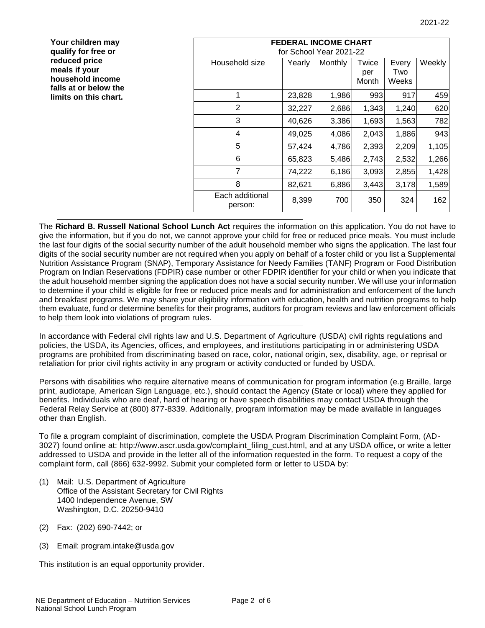| Your children may<br>qualify for free or                                                             |                            | <b>FEDERAL INCOME CHART</b><br>for School Year 2021-22 |         |                       |                       |        |  |  |  |  |  |
|------------------------------------------------------------------------------------------------------|----------------------------|--------------------------------------------------------|---------|-----------------------|-----------------------|--------|--|--|--|--|--|
| reduced price<br>meals if your<br>household income<br>falls at or below the<br>limits on this chart. | Household size             | Yearly                                                 | Monthly | Twice<br>per<br>Month | Every<br>Two<br>Weeks | Weekly |  |  |  |  |  |
|                                                                                                      |                            | 23,828                                                 | 1,986   | 993                   | 917                   | 459    |  |  |  |  |  |
|                                                                                                      | $\overline{2}$             | 32,227                                                 | 2,686   | 1,343                 | 1,240                 | 620    |  |  |  |  |  |
|                                                                                                      | 3                          | 40,626                                                 | 3,386   | 1,693                 | 1,563                 | 782    |  |  |  |  |  |
|                                                                                                      | 4                          | 49,025                                                 | 4,086   | 2,043                 | 1,886                 | 943    |  |  |  |  |  |
|                                                                                                      | 5                          | 57,424                                                 | 4,786   | 2,393                 | 2,209                 | 1,105  |  |  |  |  |  |
|                                                                                                      | 6                          | 65,823                                                 | 5,486   | 2,743                 | 2,532                 | 1,266  |  |  |  |  |  |
|                                                                                                      | 7                          | 74,222                                                 | 6,186   | 3,093                 | 2,855                 | 1,428  |  |  |  |  |  |
|                                                                                                      | 8                          | 82,621                                                 | 6,886   | 3,443                 | 3,178                 | 1,589  |  |  |  |  |  |
|                                                                                                      | Each additional<br>person: | 8,399                                                  | 700     | 350                   | 324                   | 162    |  |  |  |  |  |

The **Richard B. Russell National School Lunch Act** requires the information on this application. You do not have to give the information, but if you do not, we cannot approve your child for free or reduced price meals. You must include the last four digits of the social security number of the adult household member who signs the application. The last four digits of the social security number are not required when you apply on behalf of a foster child or you list a Supplemental Nutrition Assistance Program (SNAP), Temporary Assistance for Needy Families (TANF) Program or Food Distribution Program on Indian Reservations (FDPIR) case number or other FDPIR identifier for your child or when you indicate that the adult household member signing the application does not have a social security number. We will use your information to determine if your child is eligible for free or reduced price meals and for administration and enforcement of the lunch and breakfast programs. We may share your eligibility information with education, health and nutrition programs to help them evaluate, fund or determine benefits for their programs, auditors for program reviews and law enforcement officials to help them look into violations of program rules.

In accordance with Federal civil rights law and U.S. Department of Agriculture (USDA) civil rights regulations and policies, the USDA, its Agencies, offices, and employees, and institutions participating in or administering USDA programs are prohibited from discriminating based on race, color, national origin, sex, disability, age, or reprisal or retaliation for prior civil rights activity in any program or activity conducted or funded by USDA.

Persons with disabilities who require alternative means of communication for program information (e.g Braille, large print, audiotape, American Sign Language, etc.), should contact the Agency (State or local) where they applied for benefits. Individuals who are deaf, hard of hearing or have speech disabilities may contact USDA through the Federal Relay Service at (800) 877-8339. Additionally, program information may be made available in languages other than English.

To file a program complaint of discrimination, complete the USDA Program Discrimination Complaint Form, (AD-3027) found online at: http://www.ascr.usda.gov/complaint\_filing\_cust.html, and at any USDA office, or write a letter addressed to USDA and provide in the letter all of the information requested in the form. To request a copy of the complaint form, call (866) 632-9992. Submit your completed form or letter to USDA by:

- (1) Mail: U.S. Department of Agriculture Office of the Assistant Secretary for Civil Rights 1400 Independence Avenue, SW Washington, D.C. 20250-9410
- (2) Fax: (202) 690-7442; or
- (3) Email: program.intake@usda.gov

This institution is an equal opportunity provider.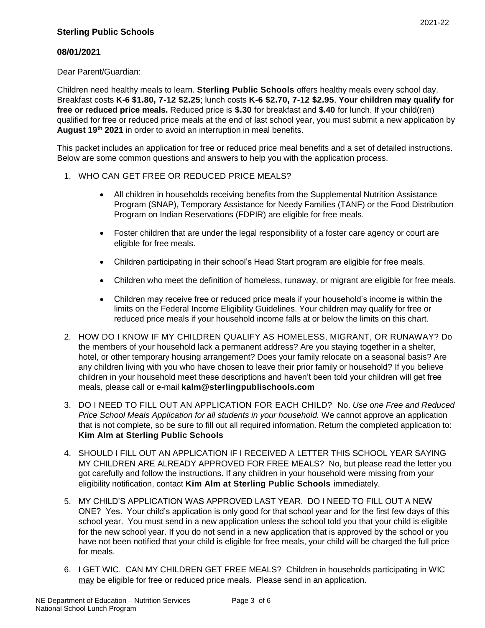2021-22

# **08/01/2021**

Dear Parent/Guardian:

Children need healthy meals to learn. **Sterling Public Schools** offers healthy meals every school day. Breakfast costs **K-6 \$1.80, 7-12 \$2.25**; lunch costs **K-6 \$2.70, 7-12 \$2.95**. **Your children may qualify for free or reduced price meals.** Reduced price is **\$.30** for breakfast and **\$.40** for lunch. If your child(ren) qualified for free or reduced price meals at the end of last school year, you must submit a new application by **August 19th 2021** in order to avoid an interruption in meal benefits.

This packet includes an application for free or reduced price meal benefits and a set of detailed instructions. Below are some common questions and answers to help you with the application process.

- 1. WHO CAN GET FREE OR REDUCED PRICE MEALS?
	- All children in households receiving benefits from the Supplemental Nutrition Assistance Program (SNAP), Temporary Assistance for Needy Families (TANF) or the Food Distribution Program on Indian Reservations (FDPIR) are eligible for free meals.
	- Foster children that are under the legal responsibility of a foster care agency or court are eligible for free meals.
	- Children participating in their school's Head Start program are eligible for free meals.
	- Children who meet the definition of homeless, runaway, or migrant are eligible for free meals.
	- Children may receive free or reduced price meals if your household's income is within the limits on the Federal Income Eligibility Guidelines. Your children may qualify for free or reduced price meals if your household income falls at or below the limits on this chart.
- 2. HOW DO I KNOW IF MY CHILDREN QUALIFY AS HOMELESS, MIGRANT, OR RUNAWAY? Do the members of your household lack a permanent address? Are you staying together in a shelter, hotel, or other temporary housing arrangement? Does your family relocate on a seasonal basis? Are any children living with you who have chosen to leave their prior family or household? If you believe children in your household meet these descriptions and haven't been told your children will get free meals, please call or e-mail **kalm@sterlingpublischools.com**
- 3. DO I NEED TO FILL OUT AN APPLICATION FOR EACH CHILD? No. *Use one Free and Reduced Price School Meals Application for all students in your household.* We cannot approve an application that is not complete, so be sure to fill out all required information. Return the completed application to: **Kim Alm at Sterling Public Schools**
- 4. SHOULD I FILL OUT AN APPLICATION IF I RECEIVED A LETTER THIS SCHOOL YEAR SAYING MY CHILDREN ARE ALREADY APPROVED FOR FREE MEALS? No, but please read the letter you got carefully and follow the instructions. If any children in your household were missing from your eligibility notification, contact **Kim Alm at Sterling Public Schools** immediately.
- 5. MY CHILD'S APPLICATION WAS APPROVED LAST YEAR. DO I NEED TO FILL OUT A NEW ONE? Yes. Your child's application is only good for that school year and for the first few days of this school year. You must send in a new application unless the school told you that your child is eligible for the new school year. If you do not send in a new application that is approved by the school or you have not been notified that your child is eligible for free meals, your child will be charged the full price for meals.
- 6. I GET WIC. CAN MY CHILDREN GET FREE MEALS? Children in households participating in WIC may be eligible for free or reduced price meals. Please send in an application.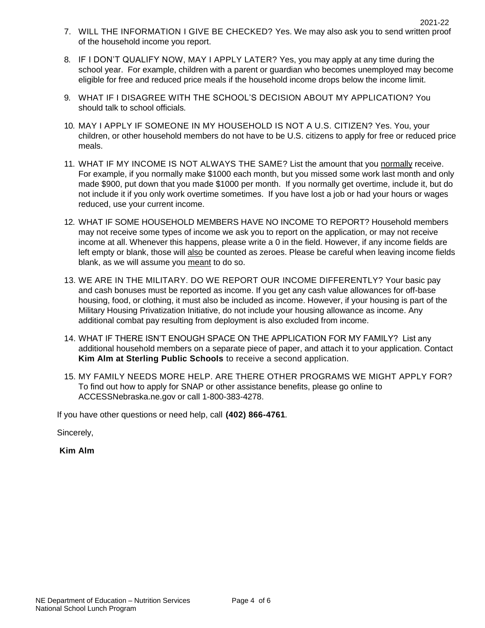- 8. IF I DON'T QUALIFY NOW, MAY I APPLY LATER? Yes, you may apply at any time during the school year. For example, children with a parent or guardian who becomes unemployed may become eligible for free and reduced price meals if the household income drops below the income limit.
- 9. WHAT IF I DISAGREE WITH THE SCHOOL'S DECISION ABOUT MY APPLICATION? You should talk to school officials*.*
- 10. MAY I APPLY IF SOMEONE IN MY HOUSEHOLD IS NOT A U.S. CITIZEN? Yes. You, your children, or other household members do not have to be U.S. citizens to apply for free or reduced price meals.
- 11. WHAT IF MY INCOME IS NOT ALWAYS THE SAME? List the amount that you normally receive. For example, if you normally make \$1000 each month, but you missed some work last month and only made \$900, put down that you made \$1000 per month. If you normally get overtime, include it, but do not include it if you only work overtime sometimes. If you have lost a job or had your hours or wages reduced, use your current income.
- 12. WHAT IF SOME HOUSEHOLD MEMBERS HAVE NO INCOME TO REPORT? Household members may not receive some types of income we ask you to report on the application, or may not receive income at all. Whenever this happens, please write a 0 in the field. However, if any income fields are left empty or blank, those will also be counted as zeroes. Please be careful when leaving income fields blank, as we will assume you meant to do so.
- 13. WE ARE IN THE MILITARY. DO WE REPORT OUR INCOME DIFFERENTLY? Your basic pay and cash bonuses must be reported as income. If you get any cash value allowances for off-base housing, food, or clothing, it must also be included as income. However, if your housing is part of the Military Housing Privatization Initiative, do not include your housing allowance as income. Any additional combat pay resulting from deployment is also excluded from income.
- 14. WHAT IF THERE ISN'T ENOUGH SPACE ON THE APPLICATION FOR MY FAMILY? List any additional household members on a separate piece of paper, and attach it to your application. Contact **Kim Alm at Sterling Public Schools** to receive a second application.
- 15. MY FAMILY NEEDS MORE HELP. ARE THERE OTHER PROGRAMS WE MIGHT APPLY FOR? To find out how to apply for SNAP or other assistance benefits, please go online to ACCESSNebraska.ne.gov or call 1-800-383-4278.

If you have other questions or need help, call **(402) 866-4761***.*

Sincerely,

**Kim Alm**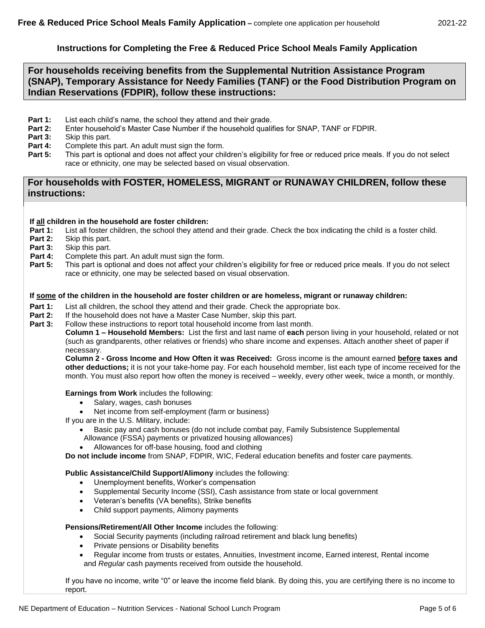## **Instructions for Completing the Free & Reduced Price School Meals Family Application**

## **For households receiving benefits from the Supplemental Nutrition Assistance Program (SNAP), Temporary Assistance for Needy Families (TANF) or the Food Distribution Program on Indian Reservations (FDPIR), follow these instructions:**

- **Part 1:** List each child's name, the school they attend and their grade.
- **Part 2:** Enter household's Master Case Number if the household qualifies for SNAP, TANF or FDPIR.
- **Part 3:** Skip this part.
- **Part 4:** Complete this part. An adult must sign the form.
- **Part 5:** This part is optional and does not affect your children's eligibility for free or reduced price meals. If you do not select race or ethnicity, one may be selected based on visual observation.

## **For households with FOSTER, HOMELESS, MIGRANT or RUNAWAY CHILDREN, follow these instructions:**

### **If all children in the household are foster children:**

- **Part 1:** List all foster children, the school they attend and their grade. Check the box indicating the child is a foster child.
- **Part 2:** Skip this part.
- **Part 3:** Skip this part.
- **Part 4:** Complete this part. An adult must sign the form.
- **Part 5:** This part is optional and does not affect your children's eligibility for free or reduced price meals. If you do not select race or ethnicity, one may be selected based on visual observation.

### **If some of the children in the household are foster children or are homeless, migrant or runaway children:**

- **Part 1:** List all children, the school they attend and their grade. Check the appropriate box.
- **Part 2:** If the household does not have a Master Case Number, skip this part.
- **Part 3:** Follow these instructions to report total household income from last month.

**Column 1 – Household Members:** List the first and last name of **each** person living in your household, related or not (such as grandparents, other relatives or friends) who share income and expenses. Attach another sheet of paper if necessary.

**Column 2 - Gross Income and How Often it was Received:** Gross income is the amount earned **before taxes and other deductions;** it is not your take-home pay. For each household member, list each type of income received for the month. You must also report how often the money is received – weekly, every other week, twice a month, or monthly.

#### **Earnings from Work** includes the following:

- Salary, wages, cash bonuses
- Net income from self-employment (farm or business)
- If you are in the U.S. Military, include:
	- Basic pay and cash bonuses (do not include combat pay, Family Subsistence Supplemental Allowance (FSSA) payments or privatized housing allowances)
		- Allowances for off-base housing, food and clothing

**Do not include income** from SNAP, FDPIR, WIC, Federal education benefits and foster care payments.

## **Public Assistance/Child Support/Alimony** includes the following:

- Unemployment benefits, Worker's compensation
- Supplemental Security Income (SSI), Cash assistance from state or local government
- Veteran's benefits (VA benefits), Strike benefits
- Child support payments, Alimony payments

## **Pensions/Retirement/All Other Income** includes the following:

- Social Security payments (including railroad retirement and black lung benefits)
- Private pensions or Disability benefits
- Regular income from trusts or estates, Annuities, Investment income, Earned interest, Rental income and *Regular* cash payments received from outside the household.

If you have no income, write "0" or leave the income field blank. By doing this, you are certifying there is no income to report.